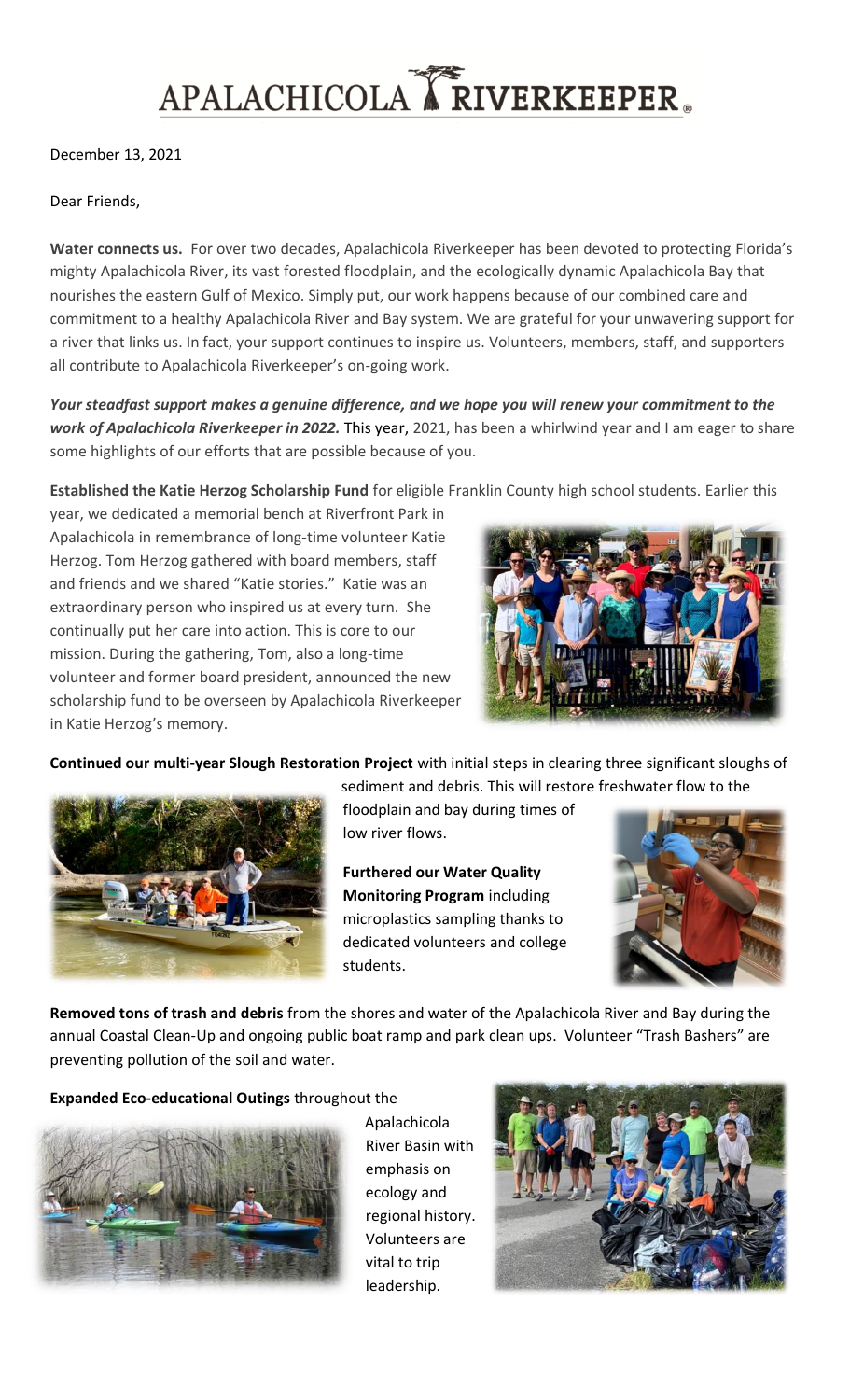## APALACHICOLA KRIVERKEEPER.

December 13, 2021

## Dear Friends,

**Water connects us.** For over two decades, Apalachicola Riverkeeper has been devoted to protecting Florida's mighty Apalachicola River, its vast forested floodplain, and the ecologically dynamic Apalachicola Bay that nourishes the eastern Gulf of Mexico. Simply put, our work happens because of our combined care and commitment to a healthy Apalachicola River and Bay system. We are grateful for your unwavering support for a river that links us. In fact, your support continues to inspire us. Volunteers, members, staff, and supporters all contribute to Apalachicola Riverkeeper's on-going work.

*Your steadfast support makes a genuine difference, and we hope you will renew your commitment to the work of Apalachicola Riverkeeper in 2022.* This year, 2021, has been a whirlwind year and I am eager to share some highlights of our efforts that are possible because of you.

**Established the Katie Herzog Scholarship Fund** for eligible Franklin County high school students. Earlier this

year, we dedicated a memorial bench at Riverfront Park in Apalachicola in remembrance of long-time volunteer Katie Herzog. Tom Herzog gathered with board members, staff and friends and we shared "Katie stories." Katie was an extraordinary person who inspired us at every turn. She continually put her care into action. This is core to our mission. During the gathering, Tom, also a long-time volunteer and former board president, announced the new scholarship fund to be overseen by Apalachicola Riverkeeper in Katie Herzog's memory.



**Continued our multi-year Slough Restoration Project** with initial steps in clearing three significant sloughs of



sediment and debris. This will restore freshwater flow to the floodplain and bay during times of low river flows.

**Furthered our Water Quality Monitoring Program** including microplastics sampling thanks to dedicated volunteers and college students.



**Removed tons of trash and debris** from the shores and water of the Apalachicola River and Bay during the annual Coastal Clean-Up and ongoing public boat ramp and park clean ups. Volunteer "Trash Bashers" are preventing pollution of the soil and water.

**Expanded Eco-educational Outings** throughout the



Apalachicola River Basin with emphasis on ecology and regional history. Volunteers are vital to trip leadership.